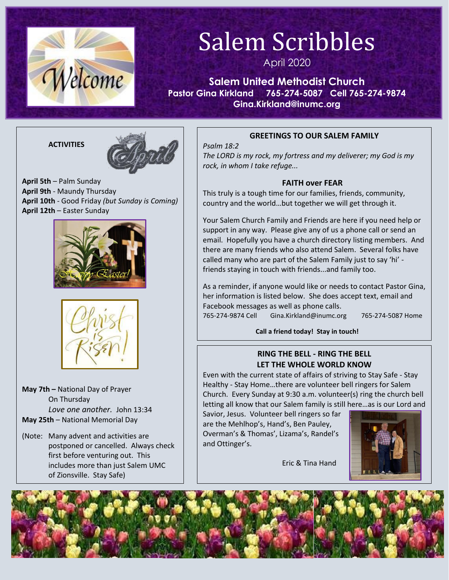

# Salem Scribbles

April 2020

**Salem United Methodist Church Pastor Gina Kirkland 765-274-5087 Cell 765-274-9874 Gina.Kirkland@inumc.org**

#### **ACTIVITIES**



**April 5th** – Palm Sunday **April 9th** - Maundy Thursday **April 10th** - Good Friday *(but Sunday is Coming)* **April 12th** – Easter Sunday





**May 7th –** National Day of Prayer On Thursday *Love one another.* John 13:34 **May 25th** – National Memorial Day

(Note: Many advent and activities are postponed or cancelled. Always check first before venturing out. This includes more than just Salem UMC of Zionsville. Stay Safe)

### **GREETINGS TO OUR SALEM FAMILY**

*Psalm 18:2 The LORD is my rock, my fortress and my deliverer; my God is my rock, in whom I take refuge...*

## **FAITH over FEAR**

This truly is a tough time for our families, friends, community, country and the world…but together we will get through it.

Your Salem Church Family and Friends are here if you need help or support in any way. Please give any of us a phone call or send an email. Hopefully you have a church directory listing members. And there are many friends who also attend Salem. Several folks have called many who are part of the Salem Family just to say 'hi' friends staying in touch with friends...and family too.

As a reminder, if anyone would like or needs to contact Pastor Gina, her information is listed below. She does accept text, email and Facebook messages as well as phone calls. 765-274-9874 Cell Gina.Kirkland@inumc.org 765-274-5087 Home

**Call a friend today! Stay in touch!**

## **RING THE BELL - RING THE BELL LET THE WHOLE WORLD KNOW**

Even with the current state of affairs of striving to Stay Safe - Stay Healthy - Stay Home…there are volunteer bell ringers for Salem Church. Every Sunday at 9:30 a.m. volunteer(s) ring the church bell letting all know that our Salem family is still here…as is our Lord and

Savior, Jesus. Volunteer bell ringers so far are the Mehlhop's, Hand's, Ben Pauley, Overman's & Thomas', Lizama's, Randel's and Ottinger's.

Eric & Tina Hand



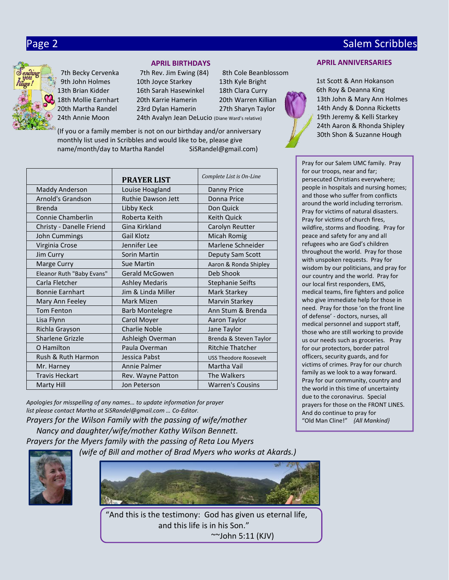18th Mollie Earnhart

#### **APRIL BIRTHDAYS**

9th John Holmes 10th Joyce Starkey 13th Kyle Bright 1[1s](https://www.faithclipart.com/fca/affiliate.do?id=58&coupon=christmas)t Scott & Ann Hokanson 13thBrian Kidder 16th Sarah Hasewinkel 18th Clara Curry 6th Roy & Deanna King 7th Becky Cervenka 7th Rev. Jim Ewing (84) 8th Cole Beanblossom 10th Joyce Starkey 20th Martha Randel 23rd Dylan Hamerin 27th Sharyn Taylor 24th Annie Moon 24th Avalyn Jean DeLucio (Diane Ward's relative)

(If you or a family member is not on our birthday and/or anniversary monthly list used in Scribbles and would like to be, please give name/month/day to Martha Randel SiSRandel@gmail.com)

|                           | <b>PRAYER LIST</b>        | Complete List is On-Line      |
|---------------------------|---------------------------|-------------------------------|
| <b>Maddy Anderson</b>     | Louise Hoagland           | <b>Danny Price</b>            |
| Arnold's Grandson         | <b>Ruthie Dawson Jett</b> | Donna Price                   |
| <b>Brenda</b>             | Libby Keck                | Don Quick                     |
| Connie Chamberlin         | Roberta Keith             | Keith Quick                   |
| Christy - Danelle Friend  | Gina Kirkland             | Carolyn Reutter               |
| John Cummings             | Gail Klotz                | <b>Micah Romig</b>            |
| Virginia Crose            | Jennifer Lee              | Marlene Schneider             |
| Jim Curry                 | Sorin Martin              | Deputy Sam Scott              |
| Marge Curry               | <b>Sue Martin</b>         | Aaron & Ronda Shipley         |
| Eleanor Ruth "Baby Evans" | Gerald McGowen            | Deb Shook                     |
| Carla Fletcher            | <b>Ashley Medaris</b>     | <b>Stephanie Seifts</b>       |
| <b>Bonnie Earnhart</b>    | Jim & Linda Miller        | Mark Starkey                  |
| Mary Ann Feeley           | Mark Mizen                | Marvin Starkey                |
| <b>Tom Fenton</b>         | <b>Barb Montelegre</b>    | Ann Stum & Brenda             |
| Lisa Flynn                | Carol Moyer               | Aaron Taylor                  |
| Richla Grayson            | <b>Charlie Noble</b>      | Jane Taylor                   |
| Sharlene Grizzle          | Ashleigh Overman          | Brenda & Steven Taylor        |
| O Hamilton                | Paula Overman             | <b>Ritchie Thatcher</b>       |
| Rush & Ruth Harmon        | Jessica Pabst             | <b>USS Theodore Roosevelt</b> |
| Mr. Harney                | Annie Palmer              | Martha Vail                   |
| <b>Travis Heckart</b>     | Rev. Wayne Patton         | The Walkers                   |
| Marty Hill                | Jon Peterson              | <b>Warren's Cousins</b>       |

*Apologies for misspelling of any names… to update information for prayer list please contact Martha at SiSRandel@gmail.com … Co-Editor.*

*Prayers for the Wilson Family with the passing of wife/mother Nancy and daughter/wife/mother Kathy Wilson Bennett. Prayers for the Myers family with the passing of Reta Lou Myers* 

 *(wife of Bill and mother of Brad Myers who works at Akards.)*





"And this is the testimony: God has given us eternal life, and this life is in his Son." ~~John 5:11 (KJV)

#### **APRIL ANNIVERSARIES**

20th Karrie Hamerin 20th Warren Killian 13th John & Mary Ann Holmes 14th Andy & Donna Ricketts 19th Jeremy & Kelli Starkey 24th Aaron & Rhonda Shipley 30th Shon & Suzanne Hough

> Pray for our Salem UMC family. Pray for our troops, near and far; persecuted Christians everywhere; people in hospitals and nursing homes; and those who suffer from conflicts around the world including terrorism. Pray for victims of natural disasters. Pray for victims of church fires, wildfire, storms and flooding. Pray for peace and safety for any and all refugees who are God's children throughout the world. Pray for those with unspoken requests. Pray for wisdom by our politicians, and pray for our country and the world. Pray for our local first responders, EMS, medical teams, fire fighters and police who give immediate help for those in need. Pray for those 'on the front line of defense' - doctors, nurses, all medical personnel and support staff, those who are still working to provide us our needs such as groceries. Pray for our protectors, border patrol officers, security guards, and for victims of crimes. Pray for our church family as we look to a way forward. Pray for our community, country and the world in this time of uncertainty due to the coronavirus. Special prayers for those on the FRONT LINES. And do continue to pray for "Old Man Cline!" *{All Mankind}*

# Page 2 Salem Scribbles and Contract Contract Contract Contract Contract Contract Contract Contract Contract Co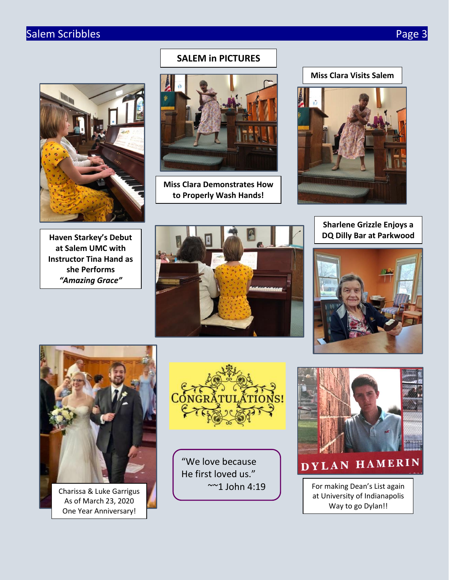# Salem Scribbles **Page 3**



## **SALEM in PICTURES**



**Miss Clara Demonstrates How to Properly Wash Hands!**



# **Sharlene Grizzle Enjoys a DQ Dilly Bar at Parkwood**









Charissa & Luke Garrigus As of March 23, 2020 One Year Anniversary!



"We love because He first loved us." ~~1 John 4:19



DYLAN HAMERIN

For making Dean's List again at University of Indianapolis Way to go Dylan!!